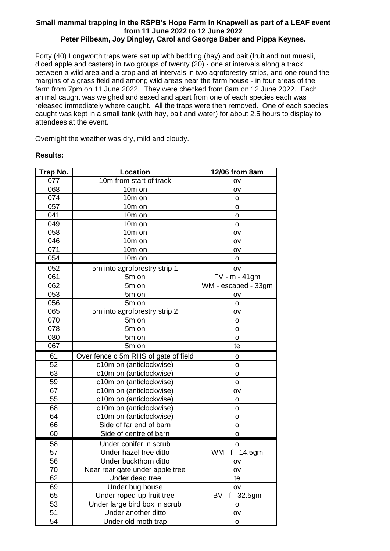## **Small mammal trapping in the RSPB's Hope Farm in Knapwell as part of a LEAF event from 11 June 2022 to 12 June 2022 Peter Pilbeam, Joy Dingley, Carol and George Baber and Pippa Keynes.**

Forty (40) Longworth traps were set up with bedding (hay) and bait (fruit and nut muesli, diced apple and casters) in two groups of twenty (20) - one at intervals along a track between a wild area and a crop and at intervals in two agroforestry strips, and one round the margins of a grass field and among wild areas near the farm house - in four areas of the farm from 7pm on 11 June 2022. They were checked from 8am on 12 June 2022. Each animal caught was weighed and sexed and apart from one of each species each was released immediately where caught. All the traps were then removed. One of each species caught was kept in a small tank (with hay, bait and water) for about 2.5 hours to display to attendees at the event.

Overnight the weather was dry, mild and cloudy.

## **Results:**

| Trap No. | Location                             | 12/06 from 8am      |
|----------|--------------------------------------|---------------------|
| 077      | 10m from start of track              | OV                  |
| 068      | 10m on                               | OV                  |
| 074      | 10m on                               | o                   |
| 057      | 10m on                               | o                   |
| 041      | 10m on                               | o                   |
| 049      | 10m on                               | o                   |
| 058      | 10m on                               | OV                  |
| 046      | 10m on                               | OV                  |
| 071      | 10m on                               | ov                  |
| 054      | 10m on                               | o                   |
| 052      | 5m into agroforestry strip 1         | OV                  |
| 061      | 5m on                                | FV - m - 41gm       |
| 062      | 5m on                                | WM - escaped - 33gm |
| 053      | 5m on                                | OV                  |
| 056      | 5m on                                | o                   |
| 065      | 5m into agroforestry strip 2         | OV                  |
| 070      | 5m on                                | o                   |
| 078      | 5m on                                | o                   |
| 080      | 5m on                                | o                   |
| 067      | 5m on                                | te                  |
| 61       | Over fence c 5m RHS of gate of field | o                   |
| 52       | c10m on (anticlockwise)              | o                   |
| 63       | c10m on (anticlockwise)              | o                   |
| 59       | c10m on (anticlockwise)              | o                   |
| 67       | c10m on (anticlockwise)              | OV                  |
| 55       | c10m on (anticlockwise)              | o                   |
| 68       | c10m on (anticlockwise)              | o                   |
| 64       | c10m on (anticlockwise)              | o                   |
| 66       | Side of far end of barn              | o                   |
| 60       | Side of centre of barn               | o                   |
| 58       | Under conifer in scrub               | o                   |
| 57       | Under hazel tree ditto               | WM - f - 14.5gm     |
| 56       | Under buckthorn ditto                | oν                  |
| 70       | Near rear gate under apple tree      | ov                  |
| 62       | Under dead tree                      | te                  |
| 69       | Under bug house                      | ov                  |
| 65       | Under roped-up fruit tree            | BV - f - 32.5gm     |
| 53       | Under large bird box in scrub        | o                   |
| 51       | Under another ditto                  | OV                  |
| 54       | Under old moth trap                  | o                   |